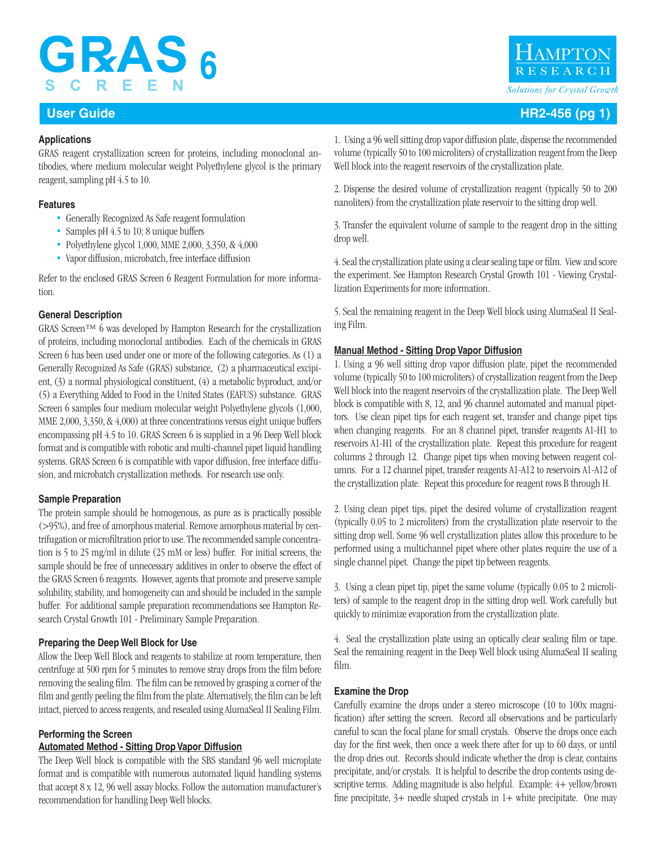# **GRAS6** SCREE

### **Applications**

GRAS reagent crystallization screen for proteins, including monoclonal antibodies, where medium molecular weight Polyethylene glycol is the primary reagent, sampling pH 4.5 to 10.

### **Features**

- Generally Recognized As Safe reagent formulation
- Samples pH 4.5 to 10; 8 unique buffers
- Polyethylene glycol 1,000, MME 2,000, 3,350, & 4,000
- Vapor diffusion, microbatch, free interface diffusion

Refer to the enclosed GRAS Screen 6 Reagent Formulation for more information.

### **General Description**

GRAS Screen™ 6 was developed by Hampton Research for the crystallization of proteins, including monoclonal antibodies. Each of the chemicals in GRAS Screen 6 has been used under one or more of the following categories. As (1) a Generally Recognized As Safe (GRAS) substance, (2) a pharmaceutical excipient, (3) a normal physiological constituent, (4) a metabolic byproduct, and/or (5) a Everything Added to Food in the United States (EAFUS) substance. GRAS Screen 6 samples four medium molecular weight Polyethylene glycols (1,000, MME 2,000, 3,350, & 4,000) at three concentrations versus eight unique buffers encompassing pH 4.5 to 10. GRAS Screen 6 is supplied in a 96 Deep Well block format and is compatible with robotic and multi-channel pipet liquid handling systems. GRAS Screen 6 is compatible with vapor diffusion, free interface diffusion, and microbatch crystallization methods. For research use only.

### **Sample Preparation**

The protein sample should be homogenous, as pure as is practically possible (>95%), and free of amorphous material. Remove amorphous material by centrifugation or microfiltration prior to use. The recommended sample concentration is 5 to 25 mg/ml in dilute (25 mM or less) buffer. For initial screens, the sample should be free of unnecessary additives in order to observe the effect of the GRAS Screen 6 reagents. However, agents that promote and preserve sample solubility, stability, and homogeneity can and should be included in the sample buffer. For additional sample preparation recommendations see Hampton Research Crystal Growth 101 - Preliminary Sample Preparation.

### **Preparing the Deep Well Block for Use**

Allow the Deep Well Block and reagents to stabilize at room temperature, then centrifuge at 500 rpm for 5 minutes to remove stray drops from the film before removing the sealing film. The film can be removed by grasping a corner of the film and gently peeling the film from the plate. Alternatively, the film can be left intact, pierced to access reagents, and resealed using AlumaSeal II Sealing Film.

### **Performing the Screen**

### **Automated Method - Sitting Drop Vapor Diffusion**

The Deep Well block is compatible with the SBS standard 96 well microplate format and is compatible with numerous automated liquid handling systems that accept 8 x 12, 96 well assay blocks. Follow the automation manufacturer's recommendation for handling Deep Well blocks.

1. Using a 96 well sitting drop vapor diffusion plate, dispense the recommended volume (typically 50 to 100 microliters) of crystallization reagent from the Deep Well block into the reagent reservoirs of the crystallization plate.

2. Dispense the desired volume of crystallization reagent (typically 50 to 200 nanoliters) from the crystallization plate reservoir to the sitting drop well.

3. Transfer the equivalent volume of sample to the reagent drop in the sitting drop well.

4. Seal the crystallization plate using a clear sealing tape or film. View and score the experiment. See Hampton Research Crystal Growth 101 - Viewing Crystallization Experiments for more information.

5. Seal the remaining reagent in the Deep Well block using AlumaSeal II Sealing Film.

### **Manual Method - Sitting Drop Vapor Diffusion**

1. Using a 96 well sitting drop vapor diffusion plate, pipet the recommended volume (typically 50 to 100 microliters) of crystallization reagent from the Deep Well block into the reagent reservoirs of the crystallization plate. The Deep Well block is compatible with 8, 12, and 96 channel automated and manual pipettors. Use clean pipet tips for each reagent set, transfer and change pipet tips when changing reagents. For an 8 channel pipet, transfer reagents A1-H1 to reservoirs A1-H1 of the crystallization plate. Repeat this procedure for reagent columns 2 through 12. Change pipet tips when moving between reagent columns. For a 12 channel pipet, transfer reagents A1-A12 to reservoirs A1-A12 of the crystallization plate. Repeat this procedure for reagent rows B through H.

2. Using clean pipet tips, pipet the desired volume of crystallization reagent (typically 0.05 to 2 microliters) from the crystallization plate reservoir to the sitting drop well. Some 96 well crystallization plates allow this procedure to be performed using a multichannel pipet where other plates require the use of a single channel pipet. Change the pipet tip between reagents.

3. Using a clean pipet tip, pipet the same volume (typically 0.05 to 2 microliters) of sample to the reagent drop in the sitting drop well. Work carefully but quickly to minimize evaporation from the crystallization plate.

4. Seal the crystallization plate using an optically clear sealing film or tape. Seal the remaining reagent in the Deep Well block using AlumaSeal II sealing film.

### **Examine the Drop**

Carefully examine the drops under a stereo microscope (10 to 100x magnification) after setting the screen. Record all observations and be particularly careful to scan the focal plane for small crystals. Observe the drops once each day for the first week, then once a week there after for up to 60 days, or until the drop dries out. Records should indicate whether the drop is clear, contains precipitate, and/or crystals. It is helpful to describe the drop contents using descriptive terms. Adding magnitude is also helpful. Example: 4+ yellow/brown fine precipitate,  $3+$  needle shaped crystals in  $1+$  white precipitate. One may



### **User Guide HR2-456 (pg 1)**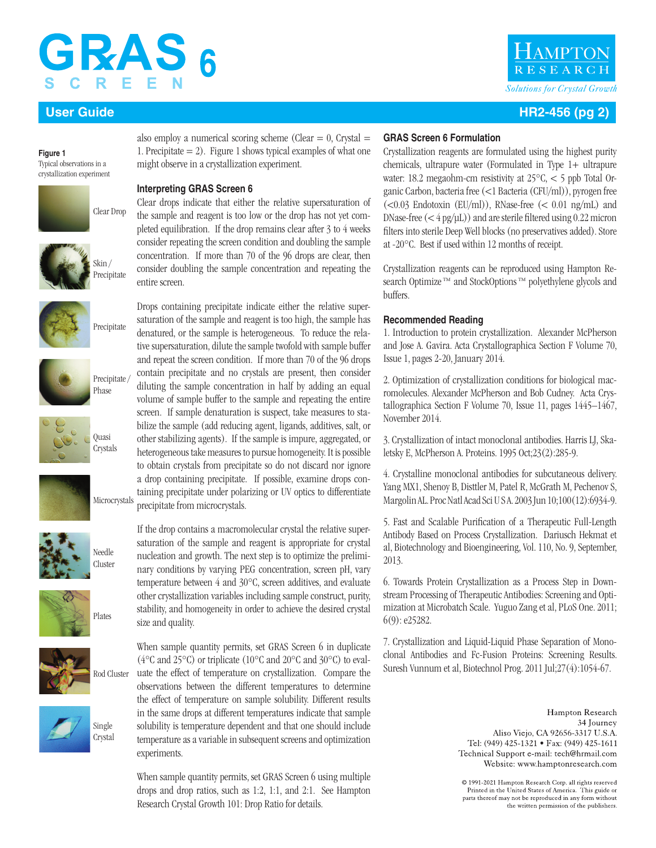# **GRAS**

**Figure 1** Typical observations in a crystallization experiment





Precipitate

















also employ a numerical scoring scheme (Clear  $= 0$ , Crystal  $=$ 1. Precipitate  $= 2$ ). Figure 1 shows typical examples of what one might observe in a crystallization experiment.

### **Interpreting GRAS Screen 6**

Clear drops indicate that either the relative supersaturation of the sample and reagent is too low or the drop has not yet completed equilibration. If the drop remains clear after 3 to 4 weeks consider repeating the screen condition and doubling the sample concentration. If more than 70 of the 96 drops are clear, then consider doubling the sample concentration and repeating the entire screen.

Drops containing precipitate indicate either the relative supersaturation of the sample and reagent is too high, the sample has denatured, or the sample is heterogeneous. To reduce the relative supersaturation, dilute the sample twofold with sample buffer and repeat the screen condition. If more than 70 of the 96 drops contain precipitate and no crystals are present, then consider diluting the sample concentration in half by adding an equal volume of sample buffer to the sample and repeating the entire screen. If sample denaturation is suspect, take measures to stabilize the sample (add reducing agent, ligands, additives, salt, or other stabilizing agents). If the sample is impure, aggregated, or heterogeneous take measures to pursue homogeneity. It is possible to obtain crystals from precipitate so do not discard nor ignore a drop containing precipitate. If possible, examine drops containing precipitate under polarizing or UV optics to differentiate precipitate from microcrystals.

If the drop contains a macromolecular crystal the relative supersaturation of the sample and reagent is appropriate for crystal nucleation and growth. The next step is to optimize the preliminary conditions by varying PEG concentration, screen pH, vary temperature between 4 and 30°C, screen additives, and evaluate other crystallization variables including sample construct, purity, stability, and homogeneity in order to achieve the desired crystal size and quality.

When sample quantity permits, set GRAS Screen 6 in duplicate (4°C and 25°C) or triplicate (10°C and 20°C and 30°C) to evaluate the effect of temperature on crystallization. Compare the observations between the different temperatures to determine the effect of temperature on sample solubility. Different results in the same drops at different temperatures indicate that sample solubility is temperature dependent and that one should include temperature as a variable in subsequent screens and optimization experiments.

When sample quantity permits, set GRAS Screen 6 using multiple drops and drop ratios, such as 1:2, 1:1, and 2:1. See Hampton Research Crystal Growth 101: Drop Ratio for details.

# **AMPTO** *Solutions for Crystal Growth*

## **User Guide HR2-456 (pg 2)**

### **GRAS Screen 6 Formulation**

Crystallization reagents are formulated using the highest purity chemicals, ultrapure water (Formulated in Type 1+ ultrapure water: 18.2 megaohm-cm resistivity at 25°C, < 5 ppb Total Organic Carbon, bacteria free (<1 Bacteria (CFU/ml)), pyrogen free  $(<0.03$  Endotoxin (EU/ml)), RNase-free  $(<0.01$  ng/mL) and DNase-free  $(<$  4 pg/ $\mu$ L)) and are sterile filtered using 0.22 micron filters into sterile Deep Well blocks (no preservatives added). Store at -20°C. Best if used within 12 months of receipt.

Crystallization reagents can be reproduced using Hampton Research Optimize<sup>™</sup> and StockOptions<sup>™</sup> polyethylene glycols and buffers.

### **Recommended Reading**

1. Introduction to protein crystallization. Alexander McPherson and Jose A. Gavira. Acta Crystallographica Section F Volume 70, Issue 1, pages 2-20, January 2014.

2. Optimization of crystallization conditions for biological macromolecules. Alexander McPherson and Bob Cudney. Acta Crystallographica Section F Volume 70, Issue 11, pages 1445–1467, November 2014.

3. Crystallization of intact monoclonal antibodies. Harris LJ, Skaletsky E, McPherson A. Proteins. 1995 Oct;23(2):285-9.

4. Crystalline monoclonal antibodies for subcutaneous delivery. Yang MX1, Shenoy B, Disttler M, Patel R, McGrath M, Pechenov S, Margolin AL. Proc Natl Acad Sci U S A. 2003 Jun 10;100(12):6934-9.

5. Fast and Scalable Purification of a Therapeutic Full-Length Antibody Based on Process Crystallization. Dariusch Hekmat et al, Biotechnology and Bioengineering, Vol. 110, No. 9, September, 2013.

6. Towards Protein Crystallization as a Process Step in Downstream Processing of Therapeutic Antibodies: Screening and Optimization at Microbatch Scale. Yuguo Zang et al, PLoS One. 2011; 6(9): e25282.

7. Crystallization and Liquid-Liquid Phase Separation of Monoclonal Antibodies and Fc-Fusion Proteins: Screening Results. Suresh Vunnum et al, Biotechnol Prog. 2011 Jul;27(4):1054-67.

> Hampton Research 34 Journey Aliso Viejo, CA 92656-3317 U.S.A. Tel: (949) 425-1321 • Fax: (949) 425-1611 Technical Support e-mail: tech@hrmail.com Website: www.hamptonresearch.com

C 1991-2021 Hampton Research Corp. all rights reserved Printed in the United States of America. This guide or parts thereof may not be reproduced in any form without the written permission of the publishers.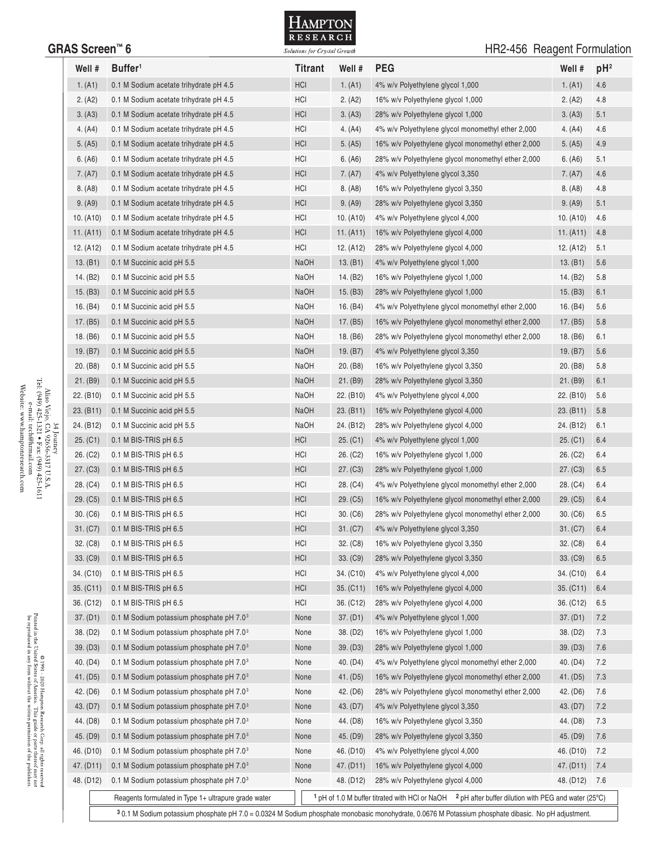

## GRAS Screen<sup>™</sup> 6 **GRAS Screen** 6 **GRAS** Screen **6 GRAS** Screen **6 GRAS** Screen **6 GRAS** Screen **6 GRAS** Screen **6 GRAS** Screen **6 GRAS** Screen **6 GRAS** Screen **6 GRAS** Screen **6 GRAS** Screen **6 GRAS** S

| 1. (A1)<br>2. (A2)<br>3. (A3)<br>4. (A4) | 0.1 M Sodium acetate trihydrate pH 4.5<br>0.1 M Sodium acetate trihydrate pH 4.5 | <b>HCI</b>  | 1. (A1)                | 4% w/v Polyethylene glycol 1,000                                                                                             | 1. (A1)                | 4.6 |
|------------------------------------------|----------------------------------------------------------------------------------|-------------|------------------------|------------------------------------------------------------------------------------------------------------------------------|------------------------|-----|
|                                          |                                                                                  |             |                        |                                                                                                                              |                        |     |
|                                          |                                                                                  | HCI         | 2. (A2)                | 16% w/v Polyethylene glycol 1,000                                                                                            | 2. (A2)                | 4.8 |
|                                          | 0.1 M Sodium acetate trihydrate pH 4.5                                           | <b>HCI</b>  | 3. (A3)                | 28% w/v Polyethylene glycol 1,000                                                                                            | 3. (A3)                | 5.1 |
|                                          | 0.1 M Sodium acetate trihydrate pH 4.5                                           | HCI         | 4. $(A4)$              | 4% w/v Polyethylene glycol monomethyl ether 2,000                                                                            | 4. (A4)                | 4.6 |
| 5. (A5)                                  | 0.1 M Sodium acetate trihydrate pH 4.5                                           | <b>HCI</b>  | 5. (A5)                | 16% w/v Polyethylene glycol monomethyl ether 2,000                                                                           | 5. (A5)                | 4.9 |
| 6. (A6)                                  | 0.1 M Sodium acetate trihydrate pH 4.5                                           | HCI         | 6. (A6)                | 28% w/v Polyethylene glycol monomethyl ether 2,000                                                                           | 6. (A6)                | 5.1 |
| 7. (A7)                                  | 0.1 M Sodium acetate trihydrate pH 4.5                                           | <b>HCI</b>  | 7. (A7)                | 4% w/v Polyethylene glycol 3,350                                                                                             | 7. (A7)                | 4.6 |
| 8. (A8)                                  | 0.1 M Sodium acetate trihydrate pH 4.5                                           | HCI         | 8. (A8)                | 16% w/v Polyethylene glycol 3,350                                                                                            | 8. (A8)                | 4.8 |
| 9. (A9)                                  | 0.1 M Sodium acetate trihydrate pH 4.5                                           | <b>HCI</b>  | 9. (A9)                | 28% w/v Polyethylene glycol 3,350                                                                                            | 9. (A9)                | 5.1 |
| 10. (A10)                                | 0.1 M Sodium acetate trihydrate pH 4.5                                           | HCI         | 10. (A10)              | 4% w/v Polyethylene glycol 4,000                                                                                             | 10. (A10)              | 4.6 |
| 11. (A11)                                | 0.1 M Sodium acetate trihydrate pH 4.5                                           | <b>HCI</b>  | 11. $(A11)$            | 16% w/v Polyethylene glycol 4,000                                                                                            | 11. $(A11)$            | 4.8 |
| 12. (A12)                                | 0.1 M Sodium acetate trihydrate pH 4.5                                           | HCI         | 12. (A12)              | 28% w/v Polyethylene glycol 4,000                                                                                            | 12. (A12)              | 5.1 |
| 13. (B1)                                 | 0.1 M Succinic acid pH 5.5                                                       | <b>NaOH</b> | 13. (B1)               | 4% w/v Polyethylene glycol 1,000                                                                                             | 13. $(B1)$             | 5.6 |
| 14. (B2)                                 | 0.1 M Succinic acid pH 5.5                                                       | NaOH        | 14. (B2)               | 16% w/v Polyethylene glycol 1,000                                                                                            | 14. (B2)               | 5.8 |
| 15. $(B3)$                               | 0.1 M Succinic acid pH 5.5                                                       | <b>NaOH</b> | 15. $(B3)$             | 28% w/v Polyethylene glycol 1,000                                                                                            | 15. (B3)               | 6.1 |
| 16. (B4)                                 | 0.1 M Succinic acid pH 5.5                                                       | <b>NaOH</b> | 16. $(B4)$             | 4% w/v Polyethylene glycol monomethyl ether 2,000                                                                            | 16. (B4)               | 5.6 |
| 17. (B5)                                 | 0.1 M Succinic acid pH 5.5                                                       | NaOH        | 17. (B5)               | 16% w/v Polyethylene glycol monomethyl ether 2,000                                                                           | 17. (B5)               | 5.8 |
| 18. (B6)                                 | 0.1 M Succinic acid pH 5.5                                                       | NaOH        | 18. (B6)               | 28% w/v Polyethylene glycol monomethyl ether 2,000                                                                           | 18. (B6)               | 6.1 |
| 19. (B7)                                 |                                                                                  | <b>NaOH</b> | 19. (B7)               |                                                                                                                              |                        | 5.6 |
| 20. (B8)                                 | 0.1 M Succinic acid pH 5.5                                                       | NaOH        | 20. (B8)               | 4% w/v Polyethylene glycol 3,350                                                                                             | 19. (B7)               |     |
|                                          | 0.1 M Succinic acid pH 5.5                                                       |             |                        | 16% w/v Polyethylene glycol 3,350                                                                                            | 20. (B8)               | 5.8 |
| 21. (B9)                                 | 0.1 M Succinic acid pH 5.5                                                       | <b>NaOH</b> | 21. (B9)               | 28% w/v Polyethylene glycol 3,350                                                                                            | 21. (B9)               | 6.1 |
| 22. (B10)                                | 0.1 M Succinic acid pH 5.5                                                       | NaOH        | 22. (B10)              | 4% w/v Polyethylene glycol 4,000                                                                                             | 22. (B10)              | 5.6 |
| 23. (B11)                                | 0.1 M Succinic acid pH 5.5                                                       | <b>NaOH</b> | 23. (B11)              | 16% w/v Polyethylene glycol 4,000                                                                                            | 23. (B11)              | 5.8 |
| 24. (B12)                                | 0.1 M Succinic acid pH 5.5                                                       | <b>NaOH</b> | 24. (B12)              | 28% w/v Polyethylene glycol 4,000                                                                                            | 24. (B12)              | 6.1 |
| 25. (C1)                                 | 0.1 M BIS-TRIS pH 6.5                                                            | <b>HCI</b>  | 25. (C1)               | 4% w/v Polyethylene glycol 1,000                                                                                             | 25. (C1)               | 6.4 |
| 26. (C2)                                 | 0.1 M BIS-TRIS pH 6.5                                                            | HCI         | 26. (C2)               | 16% w/v Polyethylene glycol 1,000                                                                                            | 26. (C2)               | 6.4 |
| 27. (C3)                                 | 0.1 M BIS-TRIS pH 6.5                                                            | HCI         | 27. (C3)               | 28% w/v Polyethylene glycol 1,000                                                                                            | 27. (C3)               | 6.5 |
| 28. (C4)                                 | 0.1 M BIS-TRIS pH 6.5                                                            | HCI         | 28. (C4)               | 4% w/v Polyethylene glycol monomethyl ether 2,000                                                                            | 28. (C4)               | 6.4 |
| 29. (C5)                                 | 0.1 M BIS-TRIS pH 6.5                                                            | <b>HCI</b>  | 29. (C5)               | 16% w/v Polyethylene glycol monomethyl ether 2,000                                                                           | 29. (C5)               | 6.4 |
| 30. (C6)                                 | 0.1 M BIS-TRIS pH 6.5                                                            | HCI         | 30. (C6)               | 28% w/v Polyethylene glycol monomethyl ether 2,000                                                                           | 30. (C6)               | 6.5 |
| 31. (C7)                                 | 0.1 M BIS-TRIS pH 6.5                                                            | <b>HCI</b>  | 31. (C7)               | 4% w/v Polyethylene glycol 3,350                                                                                             | 31. (C7)               | 6.4 |
| 32. (C8)                                 | 0.1 M BIS-TRIS pH 6.5                                                            | HCI         | 32. (C8)               | 16% w/v Polyethylene glycol 3,350                                                                                            | 32. (C8)               | 6.4 |
| 33. (C9)                                 | 0.1 M BIS-TRIS pH 6.5                                                            | HCI         | 33. (C9)               | 28% w/v Polyethylene glycol 3,350                                                                                            | 33. (C9)               | 6.5 |
| 34. (C10)                                | 0.1 M BIS-TRIS pH 6.5                                                            | HCI         | 34. (C10)              | 4% w/v Polyethylene glycol 4,000                                                                                             | 34. (C10)              | 6.4 |
| 35. (C11)                                | 0.1 M BIS-TRIS pH 6.5                                                            | <b>HCI</b>  | 35. (C11)              | 16% w/v Polyethylene glycol 4,000                                                                                            | 35. (C11)              | 6.4 |
| 36. (C12)                                | 0.1 M BIS-TRIS pH 6.5                                                            | HCI         | 36. (C12)              | 28% w/v Polyethylene glycol 4,000                                                                                            | 36. (C12)              | 6.5 |
| 37. (D1)                                 | 0.1 M Sodium potassium phosphate pH 7.0 <sup>3</sup>                             | None        | 37. (D1)               | 4% w/v Polyethylene glycol 1,000                                                                                             | 37. (D1)               | 7.2 |
| 38. (D2)                                 | 0.1 M Sodium potassium phosphate pH 7.0 <sup>3</sup>                             | None        | 38. (D <sub>2</sub> )  | 16% w/v Polyethylene glycol 1,000                                                                                            | 38. (D2)               | 7.3 |
| 39. (D3)                                 | 0.1 M Sodium potassium phosphate pH 7.0 <sup>3</sup>                             | None        | 39. (D3)               | 28% w/v Polyethylene glycol 1,000                                                                                            | 39. (D3)               | 7.6 |
| 40. (D4)                                 | 0.1 M Sodium potassium phosphate pH 7.0 <sup>3</sup>                             | None        | 40. (D4)               | 4% w/v Polyethylene glycol monomethyl ether 2,000                                                                            | 40. (D4)               | 7.2 |
| 41. (D5)                                 | 0.1 M Sodium potassium phosphate pH 7.0 <sup>3</sup>                             | None        | 41. (D5)               | 16% w/v Polyethylene glycol monomethyl ether 2,000                                                                           | 41. (D5)               | 7.3 |
| 42. (D6)                                 | 0.1 M Sodium potassium phosphate pH 7.0 <sup>3</sup>                             | None        | 42. (D6)               | 28% w/v Polyethylene glycol monomethyl ether 2,000                                                                           | 42. (D6)               | 7.6 |
| 43. (D7)                                 | 0.1 M Sodium potassium phosphate pH 7.0 <sup>3</sup>                             | None        | 43. (D7)               | 4% w/v Polyethylene glycol 3,350                                                                                             | 43. (D7)               | 7.2 |
| 44. (D8)                                 | 0.1 M Sodium potassium phosphate pH 7.0 <sup>3</sup>                             | None        | 44. (D8)               | 16% w/v Polyethylene glycol 3,350                                                                                            | 44. (D8)               | 7.3 |
| 45. (D9)                                 | 0.1 M Sodium potassium phosphate pH 7.0 <sup>3</sup>                             | None        | 45. (D9)               | 28% w/v Polyethylene glycol 3,350                                                                                            | 45. (D9)               | 7.6 |
| 46. (D10)                                | 0.1 M Sodium potassium phosphate pH 7.0 <sup>3</sup>                             | None        | 46. (D <sub>10</sub> ) | 4% w/v Polyethylene glycol 4,000                                                                                             | 46. (D <sub>10</sub> ) | 7.2 |
| 47. (D11)                                | 0.1 M Sodium potassium phosphate pH 7.0 <sup>3</sup>                             | None        | 47. (D11)              | 16% w/v Polyethylene glycol 4,000                                                                                            | 47. (D11)              | 7.4 |
| 48. (D12)                                | 0.1 M Sodium potassium phosphate pH 7.0 <sup>3</sup>                             | None        | 48. (D12)              | 28% w/v Polyethylene glycol 4,000                                                                                            | 48. (D12)              | 7.6 |
|                                          | Reagents formulated in Type 1+ ultrapure grade water                             |             |                        | <sup>1</sup> pH of 1.0 M buffer titrated with HCI or NaOH<br><sup>2</sup> pH after buffer dilution with PEG and water (25°C) |                        |     |

Aliso Viejo, CA 92656-3317 U.S.A.<br>Aliso Viejo, CA 92656-3317 U.S.A.<br>Tel: (949) 425-1321 • Fax: (949) 425-1611<br>website: www.hamptonresearch.com<br>Website: www.hamptonresearch.com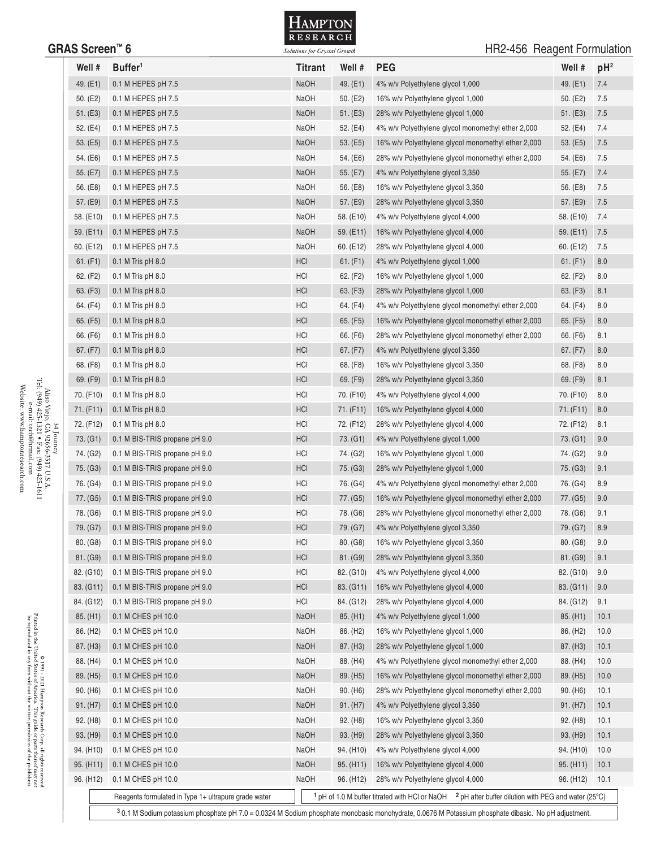

## GRAS Screen<sup>™</sup> 6 **GRAS** Screen™ 6 **CONSIDER Solutions for Crystal Growth** Contact Contact Contact Contact Contact Contact Contact Contact Contact Contact Contact Contact Contact Contact Contact Contact Contact Contact Con

| Well #                | Buffer <sup>1</sup>                                                                                                                                  | <b>Titrant</b> | Well #                 | <b>PEG</b>                                                                                                                                 | Well #                 | pH <sup>2</sup> |  |  |
|-----------------------|------------------------------------------------------------------------------------------------------------------------------------------------------|----------------|------------------------|--------------------------------------------------------------------------------------------------------------------------------------------|------------------------|-----------------|--|--|
| 49. (E1)              | 0.1 M HEPES pH 7.5                                                                                                                                   | <b>NaOH</b>    | 49. (E1)               | 4% w/v Polyethylene glycol 1,000                                                                                                           | 49. (E1)               | 7.4             |  |  |
| 50. (E2)              | 0.1 M HEPES pH 7.5                                                                                                                                   | NaOH           | 50. $(E2)$             | 16% w/v Polyethylene glycol 1,000                                                                                                          | 50. (E2)               | 7.5             |  |  |
| 51. (E3)              | 0.1 M HEPES pH 7.5                                                                                                                                   | <b>NaOH</b>    | 51. (E3)               | 28% w/v Polyethylene glycol 1,000                                                                                                          | 51. (E3)               | 7.5             |  |  |
| 52. (E4)              | 0.1 M HEPES pH 7.5                                                                                                                                   | NaOH           | 52. (E4)               | 4% w/v Polyethylene glycol monomethyl ether 2,000                                                                                          | 52. (E4)               | 7.4             |  |  |
| 53. (E5)              | 0.1 M HEPES pH 7.5                                                                                                                                   | <b>NaOH</b>    | 53. (E5)               | 16% w/v Polyethylene glycol monomethyl ether 2,000                                                                                         | 53. (E5)               | 7.5             |  |  |
| 54. (E6)              | 0.1 M HEPES pH 7.5                                                                                                                                   | NaOH           | 54. (E6)               | 28% w/v Polyethylene glycol monomethyl ether 2,000                                                                                         | 54. (E6)               | 7.5             |  |  |
| 55. (E7)              | 0.1 M HEPES pH 7.5                                                                                                                                   | <b>NaOH</b>    | 55. $(E7)$             | 4% w/v Polyethylene glycol 3,350                                                                                                           | 55. (E7)               | 7.4             |  |  |
| 56. (E8)              | 0.1 M HEPES pH 7.5                                                                                                                                   | <b>NaOH</b>    | 56. (E8)               | 16% w/v Polyethylene glycol 3,350                                                                                                          | 56. (E8)               | 7.5             |  |  |
| 57. (E9)              | 0.1 M HEPES pH 7.5                                                                                                                                   | <b>NaOH</b>    | 57. (E9)               | 28% w/v Polyethylene glycol 3,350                                                                                                          | 57. (E9)               | 7.5             |  |  |
| 58. (E10)             | 0.1 M HEPES pH 7.5                                                                                                                                   | NaOH           | 58. (E10)              | 4% w/v Polyethylene glycol 4,000                                                                                                           | 58. (E10)              | 7.4             |  |  |
| 59. (E11)             | 0.1 M HEPES pH 7.5                                                                                                                                   | <b>NaOH</b>    | 59. (E11)              | 16% w/v Polyethylene glycol 4,000                                                                                                          | 59. (E11)              | 7.5             |  |  |
| 60. (E12)             | 0.1 M HEPES pH 7.5                                                                                                                                   | NaOH           | 60. (E12)              | 28% w/v Polyethylene glycol 4,000                                                                                                          | 60. (E12)              | 7.5             |  |  |
| 61. (F1)              | $0.1$ M Tris pH $8.0$                                                                                                                                | HCI            | 61. (F1)               | 4% w/v Polyethylene glycol 1,000                                                                                                           | 61. (F1)               | 8.0             |  |  |
| 62. (F2)              | $0.1$ M Tris pH $8.0$                                                                                                                                | HCI            | 62. (F2)               | 16% w/v Polyethylene glycol 1,000                                                                                                          | 62. (F2)               | 8.0             |  |  |
| 63. (F3)              | $0.1$ M Tris pH $8.0$                                                                                                                                | HCI            | 63. (F3)               | 28% w/v Polyethylene glycol 1,000                                                                                                          | 63. (F3)               | 8.1             |  |  |
| 64. (F4)              | $0.1$ M Tris pH $8.0$                                                                                                                                | HCI            | 64. (F4)               | 4% w/v Polyethylene glycol monomethyl ether 2,000                                                                                          | 64. (F4)               | 8.0             |  |  |
| 65. (F5)              | $0.1$ M Tris pH $8.0$                                                                                                                                | HCI            | 65. (F5)               | 16% w/v Polyethylene glycol monomethyl ether 2,000                                                                                         | 65. (F5)               | 8.0             |  |  |
| 66. (F6)              | $0.1$ M Tris pH $8.0$                                                                                                                                | HCI            | 66. (F6)               | 28% w/v Polyethylene glycol monomethyl ether 2,000                                                                                         | 66. (F6)               | 8.1             |  |  |
| 67. (F7)              | $0.1$ M Tris pH $8.0$                                                                                                                                | <b>HCI</b>     | 67. (F7)               | 4% w/v Polyethylene glycol 3,350                                                                                                           | 67. (F7)               | 8.0             |  |  |
| 68. (F8)              | $0.1$ M Tris pH $8.0$                                                                                                                                | HCI            | 68. (F8)               | 16% w/v Polyethylene glycol 3,350                                                                                                          | 68. (F8)               | 8.0             |  |  |
| 69. (F9)              | $0.1$ M Tris pH $8.0$                                                                                                                                | HCI            | 69. (F9)               | 28% w/v Polyethylene glycol 3,350                                                                                                          | 69. (F9)               | 8.1             |  |  |
| 70. (F10)             | $0.1$ M Tris pH $8.0$                                                                                                                                | HCI            | 70. (F10)              | 4% w/v Polyethylene glycol 4,000                                                                                                           | 70. (F10)              | 8.0             |  |  |
| 71. (F11)             | $0.1$ M Tris pH $8.0$                                                                                                                                | HCI            | 71. (F11)              | 16% w/v Polyethylene glycol 4,000                                                                                                          | 71. (F11)              | 8.0             |  |  |
| 72. (F12)             | $0.1$ M Tris pH $8.0$                                                                                                                                | HCI            | 72. (F12)              | 28% w/v Polyethylene glycol 4,000                                                                                                          | 72. (F12)              | 8.1             |  |  |
| 73. (G1)              | 0.1 M BIS-TRIS propane pH 9.0                                                                                                                        | HCI            | 73. (G1)               | 4% w/v Polyethylene glycol 1,000                                                                                                           | 73. (G1)               | 9.0             |  |  |
| 74. (G2)              | 0.1 M BIS-TRIS propane pH 9.0                                                                                                                        | HCI            | 74. (G2)               | 16% w/v Polyethylene glycol 1,000                                                                                                          | 74. (G2)               | 9.0             |  |  |
| 75. (G3)              | 0.1 M BIS-TRIS propane pH 9.0                                                                                                                        | HCI            | 75. (G3)               | 28% w/v Polyethylene glycol 1,000                                                                                                          | 75. (G3)               | 9.1             |  |  |
| 76. (G4)              | 0.1 M BIS-TRIS propane pH 9.0                                                                                                                        | HCI            | 76. (G4)               | 4% w/v Polyethylene glycol monomethyl ether 2,000                                                                                          | 76. (G4)               | 8.9             |  |  |
| 77. (G5)              | 0.1 M BIS-TRIS propane pH 9.0                                                                                                                        | HCI            | 77. (G5)               | 16% w/v Polyethylene glycol monomethyl ether 2,000                                                                                         | 77. (G5)               | 9.0             |  |  |
| 78. (G6)              | 0.1 M BIS-TRIS propane pH 9.0                                                                                                                        | HCI            | 78. (G6)               | 28% w/v Polyethylene glycol monomethyl ether 2,000                                                                                         | 78. (G6)               | 9.1             |  |  |
| 79. (G7)              | 0.1 M BIS-TRIS propane pH 9.0                                                                                                                        | HCI            | 79. (G7)               | 4% w/v Polyethylene glycol 3,350                                                                                                           | 79. (G7)               | 8.9             |  |  |
| 80. (G8)              | 0.1 M BIS-TRIS propane pH 9.0                                                                                                                        | HCI            | 80. (G8)               | 16% w/v Polyethylene glycol 3,350                                                                                                          | 80. (G8)               | 9.0             |  |  |
| 81. (G9)              | 0.1 M BIS-TRIS propane pH 9.0                                                                                                                        | HCI            | 81. (G9)               | 28% w/v Polyethylene glycol 3,350                                                                                                          | 81. (G9)               | 9.1             |  |  |
| 82. (G10)             | 0.1 M BIS-TRIS propane pH 9.0                                                                                                                        | HCI            | 82. (G10)              | 4% w/v Polyethylene glycol 4,000                                                                                                           | 82. (G10)              | 9.0             |  |  |
| 83. (G11)             | 0.1 M BIS-TRIS propane pH 9.0                                                                                                                        | HCI            | 83. (G11)              | 16% w/v Polyethylene glycol 4,000                                                                                                          | 83. (G11)              | 9.0             |  |  |
| 84. (G12)             | 0.1 M BIS-TRIS propane pH 9.0                                                                                                                        | HCI            | 84. (G12)              | 28% w/v Polyethylene glycol 4,000                                                                                                          | 84. (G12)              | 9.1             |  |  |
| 85. (H1)              | 0.1 M CHES pH 10.0                                                                                                                                   | <b>NaOH</b>    | 85. (H1)               | 4% w/v Polyethylene glycol 1,000                                                                                                           | 85. (H1)               | 10.1            |  |  |
| 86. (H <sub>2</sub> ) | 0.1 M CHES pH 10.0                                                                                                                                   | NaOH           | 86. (H <sub>2</sub> )  | 16% w/v Polyethylene glycol 1,000                                                                                                          | 86. (H <sub>2</sub> )  | 10.0            |  |  |
| 87. (H3)              | 0.1 M CHES pH 10.0                                                                                                                                   | NaOH           | 87. (H3)               | 28% w/v Polyethylene glycol 1,000                                                                                                          | 87. (H3)               | 10.1            |  |  |
| 88. (H4)              | 0.1 M CHES pH 10.0                                                                                                                                   | NaOH           | 88. (H4)               | 4% w/v Polyethylene glycol monomethyl ether 2,000                                                                                          | 88. (H4)               | 10.0            |  |  |
| 89. (H5)              | 0.1 M CHES pH 10.0                                                                                                                                   | NaOH           | 89. (H5)               | 16% w/v Polyethylene glycol monomethyl ether 2,000                                                                                         | 89. (H5)               | 10.0            |  |  |
| 90. (H6)              | 0.1 M CHES pH 10.0                                                                                                                                   | NaOH           | 90. (H6)               | 28% w/v Polyethylene glycol monomethyl ether 2,000                                                                                         | 90. (H6)               | 10.1            |  |  |
| 91. (H7)              | 0.1 M CHES pH 10.0                                                                                                                                   | NaOH           | 91. (H7)               | 4% w/v Polyethylene glycol 3,350                                                                                                           | 91. (H7)               | 10.1            |  |  |
| 92. (H <sub>8</sub> ) | 0.1 M CHES pH 10.0                                                                                                                                   | NaOH           | 92. (H <sub>8</sub> )  | 16% w/v Polyethylene glycol 3,350                                                                                                          | 92. (H <sub>8</sub> )  | 10.1            |  |  |
| 93. (H9)              | 0.1 M CHES pH 10.0                                                                                                                                   | NaOH           | 93. (H9)               | 28% w/v Polyethylene glycol 3,350                                                                                                          | 93. (H9)               | 10.1            |  |  |
| 94. (H10)             | 0.1 M CHES pH 10.0                                                                                                                                   | NaOH           | 94. (H10)              | 4% w/v Polyethylene glycol 4,000                                                                                                           | 94. (H <sub>10</sub> ) | 10.0            |  |  |
| 95. (H11)             | 0.1 M CHES pH 10.0                                                                                                                                   | NaOH           | 95. (H11)              | 16% w/v Polyethylene glycol 4,000                                                                                                          | 95. (H11)              | 10.1            |  |  |
| 96. (H12)             | 0.1 M CHES pH 10.0                                                                                                                                   | NaOH           | 96. (H <sub>12</sub> ) | 28% w/v Polyethylene glycol 4,000                                                                                                          | 96. (H12)              | 10.1            |  |  |
|                       | Reagents formulated in Type 1+ ultrapure grade water                                                                                                 |                |                        | <sup>1</sup> pH of 1.0 M buffer titrated with HCl or NaOH $\frac{2 \text{ pH}}{1 \text{ after buffer}}$ dilution with PEG and water (25°C) |                        |                 |  |  |
|                       | 3 0.1 M Sodium potassium phosphate pH 7.0 = 0.0324 M Sodium phosphate monobasic monohydrate, 0.0676 M Potassium phosphate dibasic. No pH adjustment. |                |                        |                                                                                                                                            |                        |                 |  |  |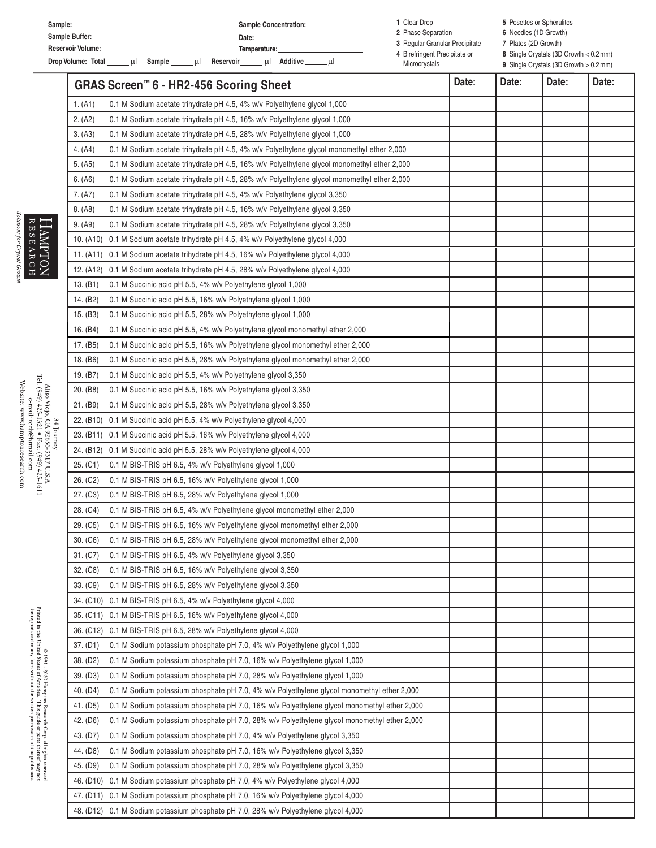| Sample:                                   | <b>Sample Concentration:</b> | Clear Drop                                                      | 5 Posettes or Spherulites                                |  |  |
|-------------------------------------------|------------------------------|-----------------------------------------------------------------|----------------------------------------------------------|--|--|
| Sample Buffer:                            | Date:                        | 2 Phase Separation                                              | 6 Needles (1D Growth)<br>7 Plates (2D Growth)            |  |  |
| <b>Reservoir Volume:</b>                  | Temperature:                 | 3 Regular Granular Precipitate<br>4 Birefringent Precipitate or | 8 Single Crystals $(3D \text{ Growth} < 0.2 \text{ mm})$ |  |  |
| Drop Volume: Total<br>Sample<br>Reservoir | Additive<br>шL               | Microcrystals                                                   | 9 Single Crystals (3D Growth > 0.2 mm)                   |  |  |

|            | GRAS Screen <sup>™</sup> 6 - HR2-456 Scoring Sheet |                                                                                             | Date: | Date: | Date: | Date: |
|------------|----------------------------------------------------|---------------------------------------------------------------------------------------------|-------|-------|-------|-------|
|            | 1. (A1)                                            | 0.1 M Sodium acetate trihydrate pH 4.5, 4% w/v Polyethylene glycol 1,000                    |       |       |       |       |
|            | 2. (A2)                                            | 0.1 M Sodium acetate trihydrate pH 4.5, 16% w/v Polyethylene glycol 1,000                   |       |       |       |       |
|            | 3. (A3)                                            | 0.1 M Sodium acetate trihydrate pH 4.5, 28% w/v Polyethylene glycol 1,000                   |       |       |       |       |
|            | 4. (A4)                                            | 0.1 M Sodium acetate trihydrate pH 4.5, 4% w/v Polyethylene glycol monomethyl ether 2,000   |       |       |       |       |
|            | 5. (A5)                                            | 0.1 M Sodium acetate trihydrate pH 4.5, 16% w/v Polyethylene glycol monomethyl ether 2,000  |       |       |       |       |
|            | 6. (A6)                                            | 0.1 M Sodium acetate trihydrate pH 4.5, 28% w/v Polyethylene glycol monomethyl ether 2,000  |       |       |       |       |
|            | 7. (A7)                                            | 0.1 M Sodium acetate trihydrate pH 4.5, 4% w/v Polyethylene glycol 3,350                    |       |       |       |       |
|            | 8. (A8)                                            | 0.1 M Sodium acetate trihydrate pH 4.5, 16% w/v Polyethylene glycol 3,350                   |       |       |       |       |
|            | 9. (A9)                                            | 0.1 M Sodium acetate trihydrate pH 4.5, 28% w/v Polyethylene glycol 3,350                   |       |       |       |       |
|            |                                                    | 10. (A10) 0.1 M Sodium acetate trihydrate pH 4.5, 4% w/v Polyethylene glycol 4,000          |       |       |       |       |
|            |                                                    | 11. (A11) 0.1 M Sodium acetate trihydrate pH 4.5, 16% w/v Polyethylene glycol 4,000         |       |       |       |       |
|            |                                                    | 12. (A12) 0.1 M Sodium acetate trihydrate pH 4.5, 28% w/v Polyethylene glycol 4,000         |       |       |       |       |
|            | 13. (B1)                                           | 0.1 M Succinic acid pH 5.5, 4% w/v Polyethylene glycol 1,000                                |       |       |       |       |
|            | 14. (B2)                                           | 0.1 M Succinic acid pH 5.5, 16% w/v Polyethylene glycol 1,000                               |       |       |       |       |
|            | 15. (B3)                                           | 0.1 M Succinic acid pH 5.5, 28% w/v Polyethylene glycol 1,000                               |       |       |       |       |
|            | 16. (B4)                                           | 0.1 M Succinic acid pH 5.5, 4% w/v Polyethylene glycol monomethyl ether 2,000               |       |       |       |       |
|            | 17. (B5)                                           | 0.1 M Succinic acid pH 5.5, 16% w/v Polyethylene glycol monomethyl ether 2,000              |       |       |       |       |
|            | 18. (B6)                                           | 0.1 M Succinic acid pH 5.5, 28% w/v Polyethylene glycol monomethyl ether 2,000              |       |       |       |       |
|            | 19. (B7)                                           | 0.1 M Succinic acid pH 5.5, 4% w/v Polyethylene glycol 3,350                                |       |       |       |       |
|            | 20. (B8)                                           | 0.1 M Succinic acid pH 5.5, 16% w/v Polyethylene glycol 3,350                               |       |       |       |       |
|            | 21. (B9)                                           | 0.1 M Succinic acid pH 5.5, 28% w/v Polyethylene glycol 3,350                               |       |       |       |       |
|            |                                                    | 22. (B10) 0.1 M Succinic acid pH 5.5, 4% w/v Polyethylene glycol 4,000                      |       |       |       |       |
| 34 Journey |                                                    | 23. (B11) 0.1 M Succinic acid pH 5.5, 16% w/v Polyethylene glycol 4,000                     |       |       |       |       |
|            |                                                    | 24. (B12) 0.1 M Succinic acid pH 5.5, 28% w/v Polyethylene glycol 4,000                     |       |       |       |       |
|            | 25. (C1)                                           | 0.1 M BIS-TRIS pH 6.5, 4% w/v Polyethylene glycol 1,000                                     |       |       |       |       |
|            | 26. (C2)                                           | 0.1 M BIS-TRIS pH 6.5, 16% w/v Polyethylene glycol 1,000                                    |       |       |       |       |
|            | 27. (C3)                                           | 0.1 M BIS-TRIS pH 6.5, 28% w/v Polyethylene glycol 1,000                                    |       |       |       |       |
|            | 28. (C4)                                           | 0.1 M BIS-TRIS pH 6.5, 4% w/v Polyethylene glycol monomethyl ether 2,000                    |       |       |       |       |
|            | 29. (C5)                                           | 0.1 M BIS-TRIS pH 6.5, 16% w/v Polyethylene glycol monomethyl ether 2,000                   |       |       |       |       |
|            | 30. (C6)                                           | 0.1 M BIS-TRIS pH 6.5, 28% w/v Polyethylene glycol monomethyl ether 2,000                   |       |       |       |       |
|            | 31. (C7)                                           | 0.1 M BIS-TRIS pH 6.5, 4% w/v Polyethylene glycol 3,350                                     |       |       |       |       |
|            | 32. (C8)                                           | 0.1 M BIS-TRIS pH 6.5, 16% w/v Polyethylene glycol 3,350                                    |       |       |       |       |
|            | 33. (C9)                                           | 0.1 M BIS-TRIS pH 6.5, 28% w/v Polyethylene glycol 3,350                                    |       |       |       |       |
|            |                                                    | 34. (C10) 0.1 M BIS-TRIS pH 6.5, 4% w/v Polyethylene glycol 4,000                           |       |       |       |       |
|            |                                                    | 35. (C11) 0.1 M BIS-TRIS pH 6.5, 16% w/v Polyethylene glycol 4,000                          |       |       |       |       |
|            |                                                    | 36. (C12) 0.1 M BIS-TRIS pH 6.5, 28% w/v Polyethylene glycol 4,000                          |       |       |       |       |
|            | 37. (D1)                                           | 0.1 M Sodium potassium phosphate pH 7.0, 4% w/v Polyethylene glycol 1,000                   |       |       |       |       |
|            | 38. (D2)                                           | 0.1 M Sodium potassium phosphate pH 7.0, 16% w/v Polyethylene glycol 1,000                  |       |       |       |       |
|            | 39. (D3)                                           | 0.1 M Sodium potassium phosphate pH 7.0, 28% w/v Polyethylene glycol 1,000                  |       |       |       |       |
|            | 40. (D4)                                           | 0.1 M Sodium potassium phosphate pH 7.0, 4% w/v Polyethylene glycol monomethyl ether 2,000  |       |       |       |       |
|            | 41. (D5)                                           | 0.1 M Sodium potassium phosphate pH 7.0, 16% w/v Polyethylene glycol monomethyl ether 2,000 |       |       |       |       |
|            | 42. (D6)                                           | 0.1 M Sodium potassium phosphate pH 7.0, 28% w/v Polyethylene glycol monomethyl ether 2,000 |       |       |       |       |
|            | 43. (D7)                                           | 0.1 M Sodium potassium phosphate pH 7.0, 4% w/v Polyethylene glycol 3,350                   |       |       |       |       |
|            | 44. (D8)                                           | 0.1 M Sodium potassium phosphate pH 7.0, 16% w/v Polyethylene glycol 3,350                  |       |       |       |       |
|            | 45. (D9)                                           | 0.1 M Sodium potassium phosphate pH 7.0, 28% w/v Polyethylene glycol 3,350                  |       |       |       |       |
|            |                                                    | 46. (D10) 0.1 M Sodium potassium phosphate pH 7.0, 4% w/v Polyethylene glycol 4,000         |       |       |       |       |
|            |                                                    | 47. (D11) 0.1 M Sodium potassium phosphate pH 7.0, 16% w/v Polyethylene glycol 4,000        |       |       |       |       |
|            |                                                    | 48. (D12) 0.1 M Sodium potassium phosphate pH 7.0, 28% w/v Polyethylene glycol 4,000        |       |       |       |       |